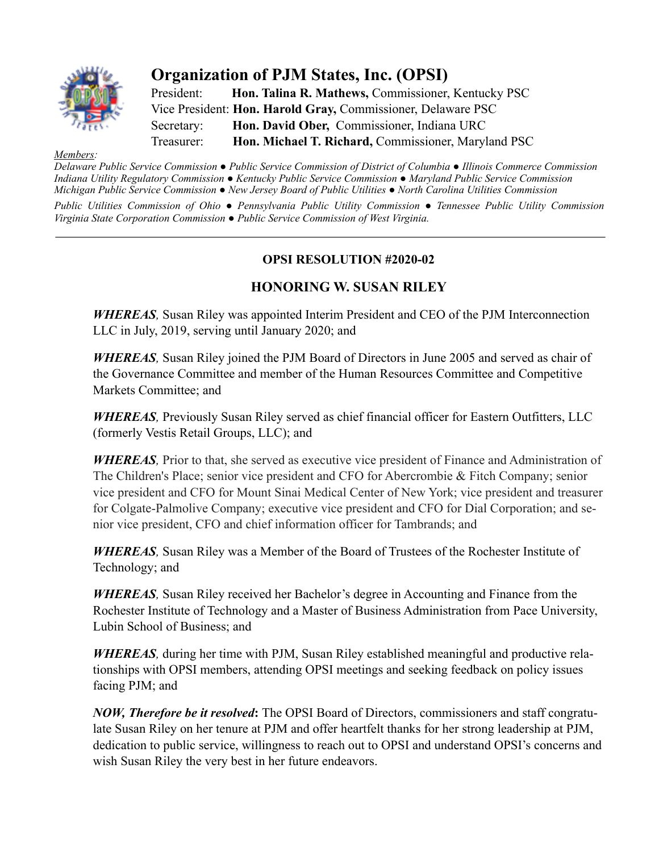

## **Organization of PJM States, Inc. (OPSI)**

President: **Hon. Talina R. Mathews,** Commissioner, Kentucky PSC Vice President: **Hon. Harold Gray,** Commissioner, Delaware PSC Secretary: **Hon. David Ober,** Commissioner, Indiana URC Treasurer: **Hon. Michael T. Richard,** Commissioner, Maryland PSC

## *Members:*

*Delaware Public Service Commission ● Public Service Commission of District of Columbia ● Illinois Commerce Commission Indiana Utility Regulatory Commission ● Kentucky Public Service Commission ● Maryland Public Service Commission Michigan Public Service Commission ● New Jersey Board of Public Utilities ● North Carolina Utilities Commission*

*Public Utilities Commission of Ohio ● Pennsylvania Public Utility Commission ● Tennessee Public Utility Commission Virginia State Corporation Commission ● Public Service Commission of West Virginia.*

## **OPSI RESOLUTION #2020-02**

## **HONORING W. SUSAN RILEY**

*WHEREAS,* Susan Riley was appointed Interim President and CEO of the PJM Interconnection LLC in July, 2019, serving until January 2020; and

*WHEREAS,* Susan Riley joined the PJM Board of Directors in June 2005 and served as chair of the Governance Committee and member of the Human Resources Committee and Competitive Markets Committee; and

*WHEREAS,* Previously Susan Riley served as chief financial officer for Eastern Outfitters, LLC (formerly Vestis Retail Groups, LLC); and

*WHEREAS,* Prior to that, she served as executive vice president of Finance and Administration of The Children's Place; senior vice president and CFO for Abercrombie & Fitch Company; senior vice president and CFO for Mount Sinai Medical Center of New York; vice president and treasurer for Colgate-Palmolive Company; executive vice president and CFO for Dial Corporation; and senior vice president, CFO and chief information officer for Tambrands; and

*WHEREAS,* Susan Riley was a Member of the Board of Trustees of the Rochester Institute of Technology; and

*WHEREAS,* Susan Riley received her Bachelor's degree in Accounting and Finance from the Rochester Institute of Technology and a Master of Business Administration from Pace University, Lubin School of Business; and

*WHEREAS,* during her time with PJM, Susan Riley established meaningful and productive relationships with OPSI members, attending OPSI meetings and seeking feedback on policy issues facing PJM; and

*NOW, Therefore be it resolved***:** The OPSI Board of Directors, commissioners and staff congratulate Susan Riley on her tenure at PJM and offer heartfelt thanks for her strong leadership at PJM, dedication to public service, willingness to reach out to OPSI and understand OPSI's concerns and wish Susan Riley the very best in her future endeavors.